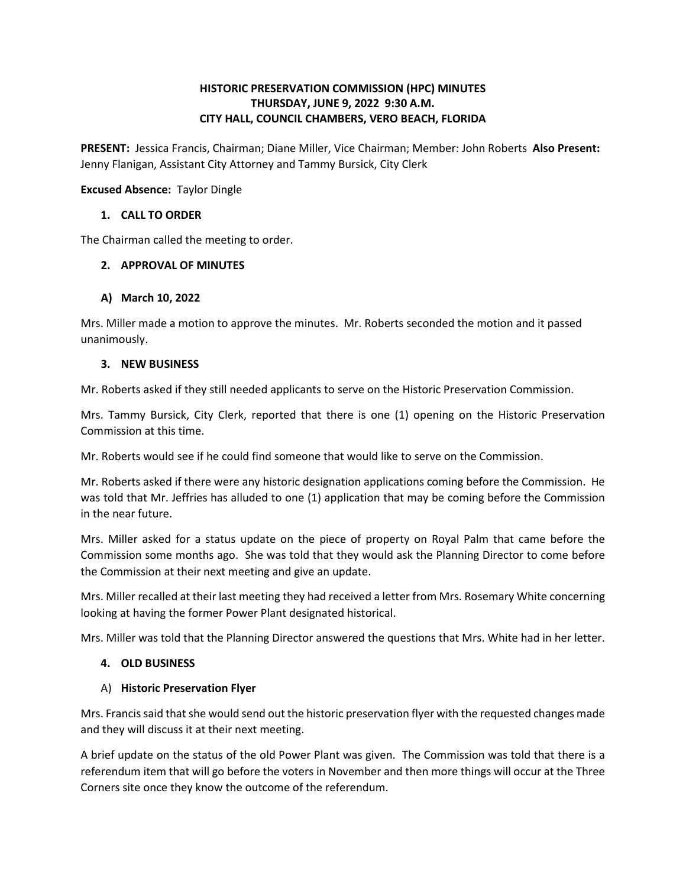# **HISTORIC PRESERVATION COMMISSION (HPC) MINUTES THURSDAY, JUNE 9, 2022 9:30 A.M. CITY HALL, COUNCIL CHAMBERS, VERO BEACH, FLORIDA**

 **PRESENT:** Jessica Francis, Chairman; Diane Miller, Vice Chairman; Member: John Roberts **Also Present:**  Jenny Flanigan, Assistant City Attorney and Tammy Bursick, City Clerk

**Excused Absence:** Taylor Dingle

# **1. CALL TO ORDER**

The Chairman called the meeting to order.

## **2. APPROVAL OF MINUTES**

## **A) March 10, 2022**

 Mrs. Miller made a motion to approve the minutes. Mr. Roberts seconded the motion and it passed unanimously.

#### **3. NEW BUSINESS**

Mr. Roberts asked if they still needed applicants to serve on the Historic Preservation Commission.

 Commission at this time. Mrs. Tammy Bursick, City Clerk, reported that there is one (1) opening on the Historic Preservation

Mr. Roberts would see if he could find someone that would like to serve on the Commission.

 was told that Mr. Jeffries has alluded to one (1) application that may be coming before the Commission in the near future. Mr. Roberts asked if there were any historic designation applications coming before the Commission. He

 Mrs. Miller asked for a status update on the piece of property on Royal Palm that came before the Commission some months ago. She was told that they would ask the Planning Director to come before the Commission at their next meeting and give an update.

 looking at having the former Power Plant designated historical. Mrs. Miller recalled at their last meeting they had received a letter from Mrs. Rosemary White concerning

Mrs. Miller was told that the Planning Director answered the questions that Mrs. White had in her letter.

#### **4. OLD BUSINESS**

#### A) **Historic Preservation Flyer**

 Mrs. Francis said that she would send out the historic preservation flyer with the requested changes made and they will discuss it at their next meeting.

and they will discuss it at their next meeting.<br>A brief update on the status of the old Power Plant was given. The Commission was told that there is a referendum item that will go before the voters in November and then more things will occur at the Three Corners site once they know the outcome of the referendum.